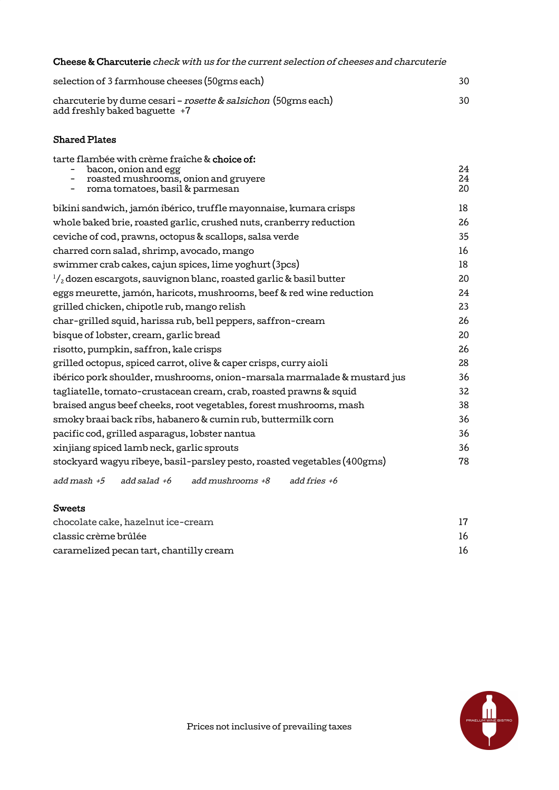Cheese & Charcuterie check with us for the current selection of cheeses and charcuterie

| selection of 3 farmhouse cheeses (50gms each)                                                    | 30. |
|--------------------------------------------------------------------------------------------------|-----|
| charcuterie by dume cesari – rosette & salsichon (50gms each)<br>add freshly baked baguette $+7$ | 30. |

## Shared Plates

| tarte flambée with crème fraîche & choice of:                                 |          |
|-------------------------------------------------------------------------------|----------|
| bacon, onion and egg                                                          | 24       |
| roasted mushrooms, onion and gruyere<br>roma tomatoes, basil & parmesan       | 24<br>20 |
|                                                                               |          |
| bikini sandwich, jamón ibérico, truffle mayonnaise, kumara crisps             | 18       |
| whole baked brie, roasted garlic, crushed nuts, cranberry reduction           | 26       |
| ceviche of cod, prawns, octopus & scallops, salsa verde                       | 35       |
| charred corn salad, shrimp, avocado, mango                                    | 16       |
| swimmer crab cakes, cajun spices, lime yoghurt (3pcs)                         | 18       |
| $\frac{1}{2}$ dozen escargots, sauvignon blanc, roasted garlic & basil butter | 20       |
| eggs meurette, jamón, haricots, mushrooms, beef & red wine reduction          | 24       |
| grilled chicken, chipotle rub, mango relish                                   | 23       |
| char-grilled squid, harissa rub, bell peppers, saffron-cream                  | 26       |
| bisque of lobster, cream, garlic bread                                        | 20       |
| risotto, pumpkin, saffron, kale crisps                                        | 26       |
| grilled octopus, spiced carrot, olive & caper crisps, curry aioli             | 28       |
| ibérico pork shoulder, mushrooms, onion-marsala marmalade & mustard jus       | 36       |
| tagliatelle, tomato-crustacean cream, crab, roasted prawns & squid            | 32       |
| braised angus beef cheeks, root vegetables, forest mushrooms, mash            | 38       |
| smoky braai back ribs, habanero & cumin rub, buttermilk corn                  | 36       |
| pacific cod, grilled asparagus, lobster nantua                                | 36       |
| xinjiang spiced lamb neck, garlic sprouts                                     | 36       |
| stockyard wagyu ribeye, basil-parsley pesto, roasted vegetables (400gms)      | 78       |
| add mash $+5$ add salad $+6$<br>add mushrooms +8<br>add fries $+6$            |          |

## Sweets

| chocolate cake, hazelnut ice-cream      |    |
|-----------------------------------------|----|
| classic crème brûlée                    | 16 |
| caramelized pecan tart, chantilly cream | 16 |